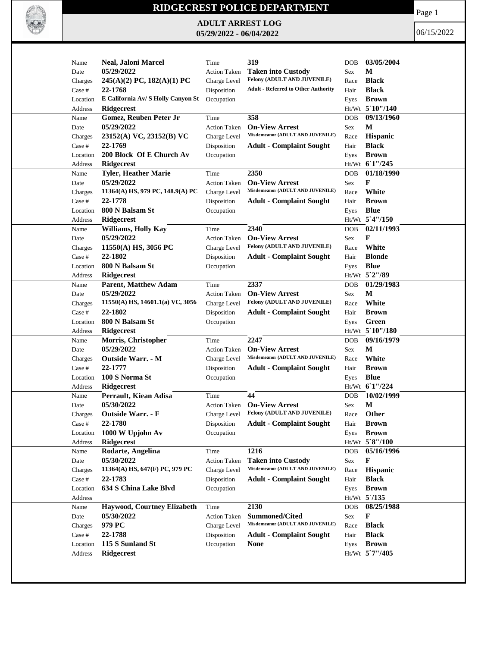

## **RIDGECREST POLICE DEPARTMENT**

**ADULT ARREST LOG 05/29/2022 - 06/04/2022**

Page 1

06/15/2022

| Name     | <b>Neal, Jaloni Marcel</b>                    | Time                | 319                                        | <b>DOB</b> | 03/05/2004      |
|----------|-----------------------------------------------|---------------------|--------------------------------------------|------------|-----------------|
| Date     | 05/29/2022                                    | <b>Action Taken</b> | <b>Taken into Custody</b>                  | <b>Sex</b> | М               |
| Charges  | $245(A)(2)$ PC, $182(A)(1)$ PC                | Charge Level        | Felony (ADULT AND JUVENILE)                | Race       | <b>Black</b>    |
| Case #   | 22-1768                                       | Disposition         | <b>Adult - Referred to Other Authority</b> | Hair       | <b>Black</b>    |
| Location | E California Av/ S Holly Canyon St Occupation |                     |                                            | Eyes       | <b>Brown</b>    |
| Address  | <b>Ridgecrest</b>                             |                     |                                            |            | Ht/Wt 5 10"/140 |
| Name     | Gomez, Reuben Peter Jr                        | Time                | 358                                        | <b>DOB</b> | 09/13/1960      |
| Date     | 05/29/2022                                    | <b>Action Taken</b> | <b>On-View Arrest</b>                      | Sex        | М               |
| Charges  | 23152(A) VC, 23152(B) VC                      | Charge Level        | Misdemeanor (ADULT AND JUVENILE)           | Race       | <b>Hispanic</b> |
| Case #   | 22-1769                                       | Disposition         | <b>Adult - Complaint Sought</b>            | Hair       | <b>Black</b>    |
| Location | 200 Block Of E Church Av                      | Occupation          |                                            | Eyes       | <b>Brown</b>    |
| Address  | Ridgecrest                                    |                     |                                            |            | Ht/Wt 61"/245   |
| Name     | <b>Tyler, Heather Marie</b>                   | Time                | 2350                                       | <b>DOB</b> | 01/18/1990      |
|          | 05/29/2022                                    |                     | <b>On-View Arrest</b>                      |            | F               |
| Date     |                                               | <b>Action Taken</b> | Misdemeanor (ADULT AND JUVENILE)           | Sex        |                 |
| Charges  | 11364(A) HS, 979 PC, 148.9(A) PC              | Charge Level        |                                            | Race       | White           |
| Case #   | 22-1778                                       | Disposition         | <b>Adult - Complaint Sought</b>            | Hair       | <b>Brown</b>    |
| Location | 800 N Balsam St                               | Occupation          |                                            | Eyes       | <b>Blue</b>     |
| Address  | Ridgecrest                                    |                     |                                            |            | Ht/Wt 5'4"/150  |
| Name     | Williams, Holly Kay                           | Time                | 2340                                       | <b>DOB</b> | 02/11/1993      |
| Date     | 05/29/2022                                    | <b>Action Taken</b> | <b>On-View Arrest</b>                      | Sex        | F               |
| Charges  | 11550(A) HS, 3056 PC                          | Charge Level        | Felony (ADULT AND JUVENILE)                | Race       | White           |
| Case #   | 22-1802                                       | Disposition         | <b>Adult - Complaint Sought</b>            | Hair       | <b>Blonde</b>   |
| Location | 800 N Balsam St                               | Occupation          |                                            | Eyes       | <b>Blue</b>     |
| Address  | Ridgecrest                                    |                     |                                            |            | Ht/Wt 5`2"/89   |
| Name     | <b>Parent, Matthew Adam</b>                   | Time                | 2337                                       | <b>DOB</b> | 01/29/1983      |
| Date     | 05/29/2022                                    | <b>Action Taken</b> | <b>On-View Arrest</b>                      | Sex        | M               |
| Charges  | $11550(A)$ HS, $14601.1(a)$ VC, $3056$        | Charge Level        | Felony (ADULT AND JUVENILE)                | Race       | White           |
| Case #   | 22-1802                                       | Disposition         | <b>Adult - Complaint Sought</b>            | Hair       | <b>Brown</b>    |
| Location | 800 N Balsam St                               | Occupation          |                                            | Eyes       | Green           |
| Address  | <b>Ridgecrest</b>                             |                     |                                            |            | Ht/Wt 5`10"/180 |
| Name     | Morris, Christopher                           | Time                | 2247                                       | <b>DOB</b> | 09/16/1979      |
| Date     | 05/29/2022                                    | <b>Action Taken</b> | <b>On-View Arrest</b>                      | Sex        | M               |
| Charges  | <b>Outside Warr. - M</b>                      | Charge Level        | Misdemeanor (ADULT AND JUVENILE)           | Race       | White           |
|          | 22-1777                                       |                     |                                            |            |                 |
| Case #   |                                               | Disposition         | <b>Adult - Complaint Sought</b>            | Hair       | <b>Brown</b>    |
| Location | 100 S Norma St                                | Occupation          |                                            | Eyes       | <b>Blue</b>     |
| Address  | <b>Ridgecrest</b>                             |                     |                                            |            | Ht/Wt 61"/224   |
| Name     | Perrault, Kiean Adisa                         | Time                | 44                                         | <b>DOB</b> | 10/02/1999      |
| Date     | 05/30/2022                                    | <b>Action Taken</b> | <b>On-View Arrest</b>                      | <b>Sex</b> | М               |
| Charges  | <b>Outside Warr. - F</b>                      | Charge Level        | <b>Felony (ADULT AND JUVENILE)</b>         | Race       | Other           |
| Case #   | 22-1780                                       | Disposition         | <b>Adult - Complaint Sought</b>            | Hair       | <b>Brown</b>    |
| Location | 1000 W Upjohn Av                              | Occupation          |                                            | Eyes       | <b>Brown</b>    |
| Address  | Ridgecrest                                    |                     |                                            |            | Ht/Wt 5`8"/100  |
| Name     | Rodarte, Angelina                             | Time                | 1216                                       | <b>DOB</b> | 05/16/1996      |
| Date     | 05/30/2022                                    | <b>Action Taken</b> | <b>Taken into Custody</b>                  | Sex        | F               |
| Charges  | 11364(A) HS, 647(F) PC, 979 PC                | Charge Level        | Misdemeanor (ADULT AND JUVENILE)           | Race       | Hispanic        |
| Case #   | 22-1783                                       | Disposition         | <b>Adult - Complaint Sought</b>            | Hair       | <b>Black</b>    |
| Location | 634 S China Lake Blvd                         | Occupation          |                                            | Eyes       | <b>Brown</b>    |
| Address  |                                               |                     |                                            |            | $Ht/Wt$ 5 /135  |
| Name     | Haywood, Courtney Elizabeth                   | Time                | 2130                                       | DOB        | 08/25/1988      |
| Date     | 05/30/2022                                    | <b>Action Taken</b> | Summoned/Cited                             | Sex        | F               |
| Charges  | 979 PC                                        | Charge Level        | Misdemeanor (ADULT AND JUVENILE)           | Race       | <b>Black</b>    |
| Case #   | 22-1788                                       | Disposition         | <b>Adult - Complaint Sought</b>            | Hair       | <b>Black</b>    |
| Location | 115 S Sunland St                              | Occupation          | <b>None</b>                                | Eyes       | <b>Brown</b>    |
| Address  | <b>Ridgecrest</b>                             |                     |                                            |            | Ht/Wt 5`7"/405  |
|          |                                               |                     |                                            |            |                 |
|          |                                               |                     |                                            |            |                 |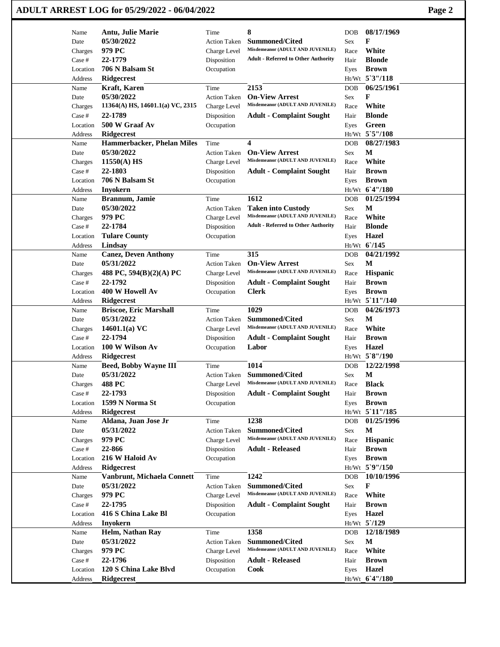|                   | ADULT ARREST LOG for 05/29/2022 - 06/04/2022 |                                     |                                                               |                    |                              | Page 2 |
|-------------------|----------------------------------------------|-------------------------------------|---------------------------------------------------------------|--------------------|------------------------------|--------|
| Name              | Antu, Julie Marie                            | Time                                | 8                                                             | DOB                | 08/17/1969                   |        |
| Date              | 05/30/2022                                   | <b>Action Taken</b>                 | <b>Summoned/Cited</b>                                         | Sex                | F                            |        |
| Charges           | 979 PC                                       | Charge Level                        | Misdemeanor (ADULT AND JUVENILE)                              | Race               | White                        |        |
| Case #            | 22-1779                                      | Disposition                         | <b>Adult - Referred to Other Authority</b>                    | Hair               | <b>Blonde</b>                |        |
| Location          | 706 N Balsam St                              | Occupation                          |                                                               | Eyes               | <b>Brown</b>                 |        |
| Address           | Ridgecrest                                   |                                     |                                                               |                    | Ht/Wt 5'3"/118               |        |
| Name              | <b>Kraft</b> , Karen                         | Time                                | 2153                                                          | <b>DOB</b>         | 06/25/1961                   |        |
| Date              | 05/30/2022                                   | <b>Action Taken</b>                 | <b>On-View Arrest</b>                                         | <b>Sex</b>         | F                            |        |
| Charges           | $11364(A)$ HS, $14601.1(a)$ VC, $2315$       | Charge Level                        | Misdemeanor (ADULT AND JUVENILE)                              | Race               | White                        |        |
| Case #            | 22-1789                                      | Disposition                         | <b>Adult - Complaint Sought</b>                               | Hair               | <b>Blonde</b>                |        |
| Location          | 500 W Graaf Av                               | Occupation                          |                                                               | Eyes               | Green                        |        |
| Address           | <b>Ridgecrest</b>                            |                                     |                                                               |                    | Ht/Wt 5`5"/108               |        |
| Name              | Hammerbacker, Phelan Miles                   | Time                                | 4                                                             | DOB                | 08/27/1983                   |        |
| Date              | 05/30/2022                                   | Action Taken                        | <b>On-View Arrest</b><br>Misdemeanor (ADULT AND JUVENILE)     | Sex                | M                            |        |
| Charges           | $11550(A)$ HS<br>22-1803                     | Charge Level                        |                                                               | Race               | White                        |        |
| Case #            |                                              | Disposition                         | <b>Adult - Complaint Sought</b>                               | Hair               | <b>Brown</b>                 |        |
| Location          | 706 N Balsam St                              | Occupation                          |                                                               | Eyes               | <b>Brown</b>                 |        |
| Address<br>Name   | <b>Inyokern</b><br>Brannum, Jamie            | Time                                | 1612                                                          | <b>DOB</b>         | Ht/Wt 6'4"/180<br>01/25/1994 |        |
|                   |                                              |                                     |                                                               |                    |                              |        |
| Date<br>Charges   | 05/30/2022<br>979 PC                         | <b>Action Taken</b><br>Charge Level | <b>Taken into Custody</b><br>Misdemeanor (ADULT AND JUVENILE) | <b>Sex</b><br>Race | М<br>White                   |        |
| Case #            | 22-1784                                      |                                     | <b>Adult - Referred to Other Authority</b>                    | Hair               | <b>Blonde</b>                |        |
| Location          | <b>Tulare County</b>                         | Disposition                         |                                                               |                    | <b>Hazel</b>                 |        |
| Address           | Lindsay                                      | Occupation                          |                                                               | Eyes               | Ht/Wt 6/145                  |        |
| Name              | <b>Canez, Deven Anthony</b>                  | Time                                | 315                                                           | <b>DOB</b>         | 04/21/1992                   |        |
| Date              | 05/31/2022                                   | <b>Action Taken</b>                 | <b>On-View Arrest</b>                                         | <b>Sex</b>         | М                            |        |
| Charges           | 488 PC, 594(B)(2)(A) PC                      | Charge Level                        | Misdemeanor (ADULT AND JUVENILE)                              | Race               | Hispanic                     |        |
| Case #            | 22-1792                                      | Disposition                         | <b>Adult - Complaint Sought</b>                               | Hair               | <b>Brown</b>                 |        |
| Location          | 400 W Howell Av                              | Occupation                          | Clerk                                                         | Eyes               | <b>Brown</b>                 |        |
| Address           | <b>Ridgecrest</b>                            |                                     |                                                               |                    | Ht/Wt 5 11"/140              |        |
| Name              | <b>Briscoe, Eric Marshall</b>                | Time                                | 1029                                                          | <b>DOB</b>         | 04/26/1973                   |        |
| Date              | 05/31/2022                                   | <b>Action Taken</b>                 | <b>Summoned/Cited</b>                                         | Sex                | M                            |        |
| Charges           | 14601.1(a) $VC$                              | Charge Level                        | Misdemeanor (ADULT AND JUVENILE)                              | Race               | White                        |        |
| Case #            | 22-1794                                      | Disposition                         | <b>Adult - Complaint Sought</b>                               | Hair               | <b>Brown</b>                 |        |
| Location          | 100 W Wilson Av                              | Occupation                          | Labor                                                         | Eyes               | <b>Hazel</b>                 |        |
| Address           | <b>Ridgecrest</b>                            |                                     |                                                               |                    | Ht/Wt 5`8"/190               |        |
| Name              | <b>Beed, Bobby Wayne III</b>                 | Time                                | 1014                                                          | DOB                | 12/22/1998                   |        |
| Date              | 05/31/2022                                   | <b>Action Taken</b>                 | Summoned/Cited                                                | <b>Sex</b>         | $\mathbf M$                  |        |
| Charges           | <b>488 PC</b>                                | Charge Level                        | Misdemeanor (ADULT AND JUVENILE)                              | Race               | <b>Black</b>                 |        |
| Case #            | 22-1793                                      | Disposition                         | <b>Adult - Complaint Sought</b>                               | Hair               | <b>Brown</b>                 |        |
| Location          | 1599 N Norma St                              | Occupation                          |                                                               | Eyes               | <b>Brown</b>                 |        |
| Address           | Ridgecrest                                   |                                     |                                                               |                    | Ht/Wt 5 11"/185              |        |
| Name              | Aldana, Juan Jose Jr                         | Time                                | 1238                                                          | <b>DOB</b>         | 01/25/1996                   |        |
| Date              | 05/31/2022                                   | <b>Action Taken</b>                 | <b>Summoned/Cited</b>                                         | Sex                | $\mathbf M$                  |        |
| Charges           | 979 PC                                       | Charge Level                        | Misdemeanor (ADULT AND JUVENILE)                              | Race               | <b>Hispanic</b>              |        |
| Case #            | 22-866                                       | Disposition                         | <b>Adult - Released</b>                                       | Hair               | <b>Brown</b>                 |        |
| Location          | 216 W Haloid Av                              | Occupation                          |                                                               | Eyes               | <b>Brown</b>                 |        |
| Address           | <b>Ridgecrest</b>                            |                                     |                                                               |                    | Ht/Wt 5`9"/150               |        |
| Name              | Vanbrunt, Michaela Connett                   | Time                                | 1242                                                          | <b>DOB</b>         | 10/10/1996                   |        |
| Date              | 05/31/2022                                   | <b>Action Taken</b>                 | <b>Summoned/Cited</b><br>Misdemeanor (ADULT AND JUVENILE)     | Sex                | F<br>White                   |        |
| Charges           | 979 PC                                       | Charge Level                        |                                                               | Race               |                              |        |
| Case #            | 22-1795                                      | Disposition                         | <b>Adult - Complaint Sought</b>                               | Hair               | <b>Brown</b>                 |        |
| Location          | 416 S China Lake Bl                          | Occupation                          |                                                               | Eyes               | <b>Hazel</b><br>Ht/Wt 5'/129 |        |
| Address<br>Name   | <b>Inyokern</b><br>Helm, Nathan Ray          | Time                                | 1358                                                          | <b>DOB</b>         | 12/18/1989                   |        |
| Date              | 05/31/2022                                   | Action Taken                        | <b>Summoned/Cited</b>                                         | Sex                | M                            |        |
|                   | 979 PC                                       | Charge Level                        | Misdemeanor (ADULT AND JUVENILE)                              | Race               | White                        |        |
| Charges<br>Case # | 22-1796                                      | Disposition                         | Adult - Released                                              | Hair               | <b>Brown</b>                 |        |
| Location          | 120 S China Lake Blvd                        |                                     | <b>Cook</b>                                                   |                    | Hazel                        |        |
| Address           | <b>Ridgecrest</b>                            | Occupation                          |                                                               | Eyes               | Ht/Wt 6'4"/180               |        |
|                   |                                              |                                     |                                                               |                    |                              |        |